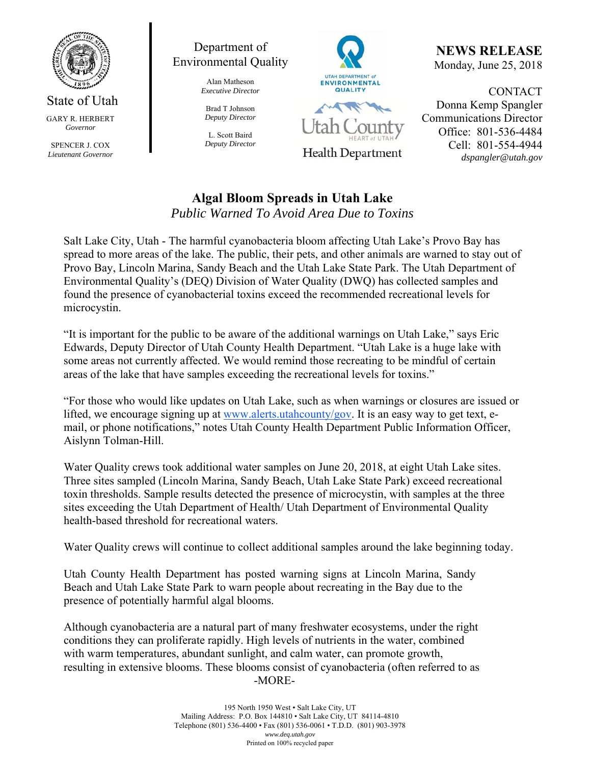

State of Utah GARY R. HERBERT *Governor* 

SPENCER J. COX *Lieutenant Governor* 



Alan Matheson *Executive Director* 

Brad T Johnson *Deputy Director* 

L. Scott Baird *Deputy Director*



**NEWS RELEASE** Monday, June 25, 2018

**CONTACT** Donna Kemp Spangler Communications Director Office: 801-536-4484 Cell: 801-554-4944 *dspangler@utah.gov* 

## **Algal Bloom Spreads in Utah Lake** *Public Warned To Avoid Area Due to Toxins*

Salt Lake City, Utah - The harmful cyanobacteria bloom affecting Utah Lake's Provo Bay has spread to more areas of the lake. The public, their pets, and other animals are warned to stay out of Provo Bay, Lincoln Marina, Sandy Beach and the Utah Lake State Park. The Utah Department of Environmental Quality's (DEQ) Division of Water Quality (DWQ) has collected samples and found the presence of cyanobacterial toxins exceed the recommended recreational levels for microcystin.

"It is important for the public to be aware of the additional warnings on Utah Lake," says Eric Edwards, Deputy Director of Utah County Health Department. "Utah Lake is a huge lake with some areas not currently affected. We would remind those recreating to be mindful of certain areas of the lake that have samples exceeding the recreational levels for toxins."

"For those who would like updates on Utah Lake, such as when warnings or closures are issued or lifted, we encourage signing up at www.alerts.utahcounty/gov. It is an easy way to get text, email, or phone notifications," notes Utah County Health Department Public Information Officer, Aislynn Tolman-Hill.

Water Quality crews took additional water samples on June 20, 2018, at eight Utah Lake sites. Three sites sampled (Lincoln Marina, Sandy Beach, Utah Lake State Park) exceed recreational toxin thresholds. Sample results detected the presence of microcystin, with samples at the three sites exceeding the Utah Department of Health/ Utah Department of Environmental Quality health-based threshold for recreational waters.

Water Quality crews will continue to collect additional samples around the lake beginning today.

Utah County Health Department has posted warning signs at Lincoln Marina, Sandy Beach and Utah Lake State Park to warn people about recreating in the Bay due to the presence of potentially harmful algal blooms.

Although cyanobacteria are a natural part of many freshwater ecosystems, under the right conditions they can proliferate rapidly. High levels of nutrients in the water, combined with warm temperatures, abundant sunlight, and calm water, can promote growth, resulting in extensive blooms. These blooms consist of cyanobacteria (often referred to as -MORE-